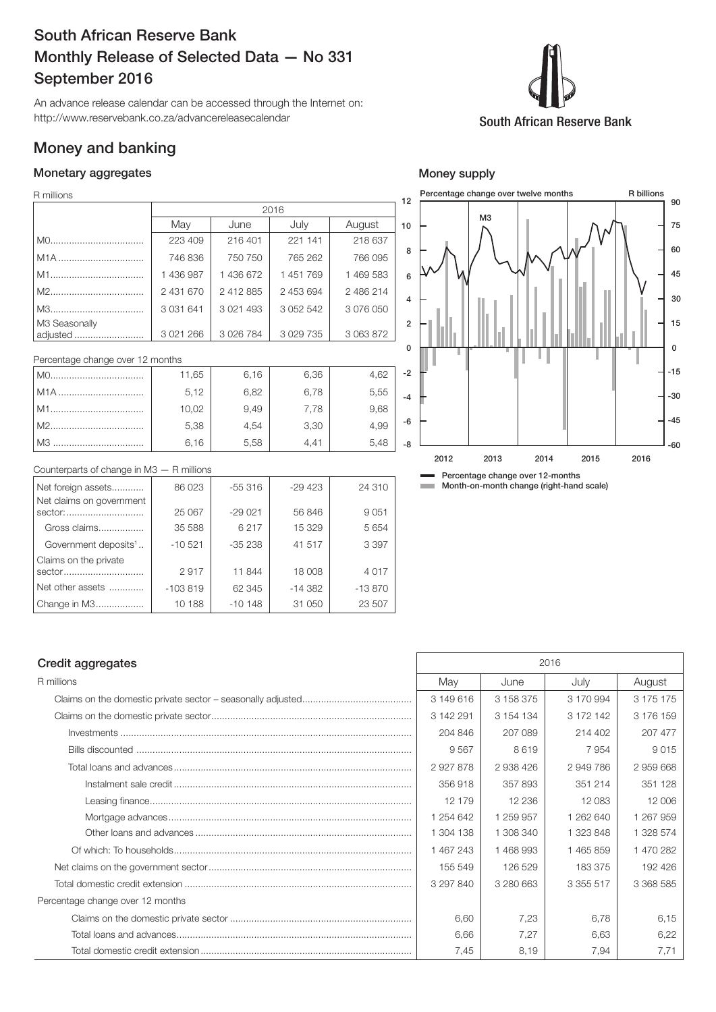# South African Reserve Bank Monthly Release of Selected Data — No 331 September 2016

An advance release calendar can be accessed through the Internet on: http://www.reservebank.co.za/advancereleasecalendar

## Money and banking

### Monetary aggregates

#### R millions

| R millions       |               |              |               |           | 12 |   | Percentage change over twelve months |  |  |
|------------------|---------------|--------------|---------------|-----------|----|---|--------------------------------------|--|--|
|                  |               |              | 2016          |           |    |   |                                      |  |  |
|                  | May           | June         | July          | August    | 10 |   | MЗ                                   |  |  |
|                  | 223 409       | 216 401      | 221 141       | 218 637   |    |   |                                      |  |  |
| M <sub>1</sub> A | 746 836       | 750 750      | 765 262       | 766 095   | 8  |   |                                      |  |  |
| M1               | 436 987       | 1436672      | 451769        | 1 469 583 | 6  | ₩ |                                      |  |  |
| M2               | 2 431 670     | 2412885      | 2 453 694     | 2486214   |    |   |                                      |  |  |
| M3               | 3 0 3 1 6 4 1 | 3 0 21 4 9 3 | 3 0 5 2 5 4 2 | 3 076 050 | 4  |   |                                      |  |  |
| M3 Seasonally    |               |              |               |           | 2  |   |                                      |  |  |
| adjusted         | 3 0 21 2 66   | 3 0 26 7 84  | 3 0 29 7 35   | 3 063 872 |    |   |                                      |  |  |
|                  |               |              |               |           |    |   |                                      |  |  |

Percentage change over 12 months

| MO. | 11,65 | 6,16 | 6,36 | 4,62 | $\overline{a}$ |
|-----|-------|------|------|------|----------------|
| M1A | 5,12  | 6,82 | 6,78 | 5,55 | -              |
|     | 10,02 | 9,49 | 7.78 | 9,68 |                |
|     | 5,38  | 4,54 | 3,30 | 4.99 |                |
|     | 6.16  | 5,58 | 4,41 | 5.48 |                |

## 8 6 4 2  $\overline{0}$ ٠ -2 -4 -6 -8 2012 2013 2014 2015 2016

-60

 $-45$ 

-30 -15

0

15

30

45 60

75 90

R billions

Counterparts of change in M3 — R millions

| Net foreign assets               | 86 023    | $-55316$ | $-29423$ | 24 310   |
|----------------------------------|-----------|----------|----------|----------|
| Net claims on government         |           |          |          |          |
| sector:                          | 25 067    | $-29021$ | 56 846   | 9 0 5 1  |
| Gross claims                     | 35 588    | 6217     | 15 329   | 5 6 5 4  |
| Government deposits <sup>1</sup> | $-10521$  | $-35238$ | 41 517   | 3 3 9 7  |
| Claims on the private            |           |          |          |          |
| sector                           | 2917      | 11 844   | 18 008   | 4017     |
| Net other assets                 | $-103819$ | 62 345   | $-14382$ | $-13870$ |
| Change in M3                     | 10 188    | $-10148$ | 31 050   | 23 507   |

### Percentage change over 12-months

**Month-on-month change (right-hand scale)** 

| 2016      |           |           |           |  |
|-----------|-----------|-----------|-----------|--|
| May       | June      | July      | August    |  |
| 3 149 616 | 3 158 375 | 3 170 994 | 3 175 175 |  |
| 3 142 291 | 3 154 134 | 3 172 142 | 3 176 159 |  |
| 204 846   | 207 089   | 214 402   | 207 477   |  |
| 9567      | 8619      | 7954      | 9015      |  |
| 2927878   | 2 938 426 | 2949786   | 2 959 668 |  |
| 356918    | 357893    | 351 214   | 351 128   |  |
| 12 179    | 12 236    | 12 083    | 12 006    |  |
| 1 254 642 | 1 259 957 | 1 262 640 | 1 267 959 |  |
| 1 304 138 | 1 308 340 | 1 323 848 | 1 328 574 |  |
| 1467243   | 1468993   | 1465859   | 1470282   |  |
| 155 549   | 126 529   | 183 375   | 192 426   |  |
| 3 297 840 | 3 280 663 | 3 355 517 | 3 368 585 |  |
|           |           |           |           |  |
| 6,60      | 7,23      | 6,78      | 6,15      |  |
| 6,66      | 7,27      | 6,63      | 6,22      |  |
| 7,45      | 8,19      | 7,94      | 7,71      |  |
|           |           |           |           |  |



Money supply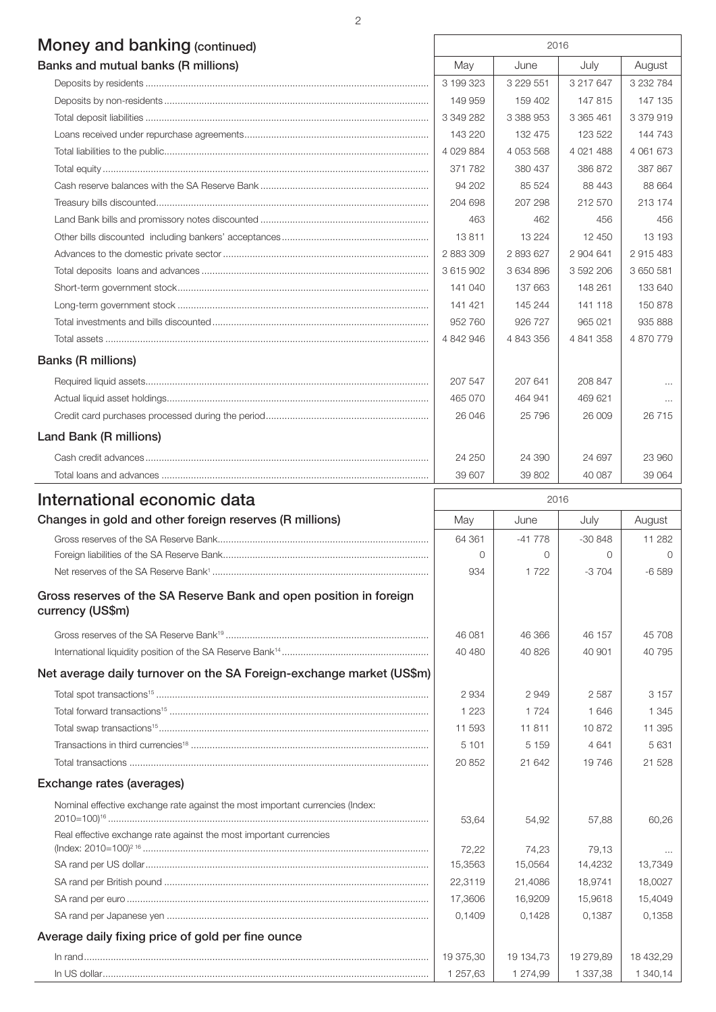# Money and banking (continued) 2016

| <b>IVIOLICY GITG DATINITY</b> (CONTINUED) |             |               |              |               |
|-------------------------------------------|-------------|---------------|--------------|---------------|
| Banks and mutual banks (R millions)       | May         | June          | July         | August        |
|                                           | 3 199 323   | 3 2 2 9 5 5 1 | 3 217 647    | 3 2 3 2 7 8 4 |
|                                           | 149 959     | 159 402       | 147815       | 147 135       |
|                                           | 3 349 282   | 3 388 953     | 3 365 461    | 3 379 919     |
|                                           | 143 220     | 132 475       | 123 522      | 144 743       |
|                                           | 4 0 29 8 84 | 4 0 5 3 5 6 8 | 4 0 21 4 8 8 | 4 061 673     |
|                                           | 371 782     | 380 437       | 386 872      | 387 867       |
|                                           | 94 202      | 85 524        | 88 443       | 88 664        |
|                                           | 204 698     | 207 298       | 212 570      | 213 174       |
|                                           | 463         | 462           | 456          | 456           |
|                                           | 13811       | 13 2 24       | 12 450       | 13 193        |
|                                           | 2 883 309   | 2893627       | 2 904 641    | 2915483       |
|                                           | 3615902     | 3 634 896     | 3 592 206    | 3 650 581     |
|                                           | 141 040     | 137 663       | 148 261      | 133 640       |
|                                           | 141 421     | 145 244       | 141 118      | 150 878       |
|                                           | 952 760     | 926 727       | 965 021      | 935 888       |
|                                           | 4 842 946   | 4 843 356     | 4 841 358    | 4 870 779     |
| <b>Banks (R millions)</b>                 |             |               |              |               |
|                                           | 207 547     | 207 641       | 208 847      | $\cdots$      |
|                                           | 465 070     | 464 941       | 469 621      | $\cdots$      |
|                                           | 26 046      | 25 796        | 26,009       | 26715         |
| Land Bank (R millions)                    |             |               |              |               |
|                                           | 24 250      | 24 390        | 24 697       | 23 960        |
|                                           | 39 607      | 39 802        | 40 087       | 39 064        |

| International economic data                                                            | 2016      |           |           |           |
|----------------------------------------------------------------------------------------|-----------|-----------|-----------|-----------|
| Changes in gold and other foreign reserves (R millions)                                | May       | June      | July      | August    |
|                                                                                        | 64 361    | $-41778$  | $-30848$  | 11 2 8 2  |
|                                                                                        | $\Omega$  | $\Omega$  | $\Omega$  | $\Omega$  |
|                                                                                        | 934       | 1 7 2 2   | $-3704$   | $-6589$   |
| Gross reserves of the SA Reserve Bank and open position in foreign<br>currency (US\$m) |           |           |           |           |
|                                                                                        | 46 081    | 46 366    | 46 157    | 45 708    |
|                                                                                        | 40 480    | 40 826    | 40 901    | 40 795    |
| Net average daily turnover on the SA Foreign-exchange market (US\$m)                   |           |           |           |           |
|                                                                                        | 2934      | 2949      | 2587      | 3 1 5 7   |
|                                                                                        | 1 2 2 3   | 1 7 2 4   | 1646      | 1 3 4 5   |
|                                                                                        | 11 593    | 11811     | 10872     | 11 395    |
|                                                                                        | 5 1 0 1   | 5 1 5 9   | 4641      | 5631      |
|                                                                                        | 20 852    | 21 642    | 19746     | 21 5 28   |
| Exchange rates (averages)                                                              |           |           |           |           |
| Nominal effective exchange rate against the most important currencies (Index:          |           |           |           |           |
|                                                                                        | 53,64     | 54,92     | 57,88     | 60,26     |
| Real effective exchange rate against the most important currencies                     |           |           |           |           |
|                                                                                        | 72,22     | 74,23     | 79.13     |           |
|                                                                                        | 15,3563   | 15,0564   | 14,4232   | 13,7349   |
|                                                                                        | 22,3119   | 21,4086   | 18,9741   | 18,0027   |
|                                                                                        | 17,3606   | 16,9209   | 15,9618   | 15,4049   |
|                                                                                        | 0,1409    | 0,1428    | 0.1387    | 0,1358    |
| Average daily fixing price of gold per fine ounce                                      |           |           |           |           |
|                                                                                        | 19 375,30 | 19 134,73 | 19 279,89 | 18 432,29 |
|                                                                                        | 1 257,63  | 1 274,99  | 1 337,38  | 1 340,14  |

2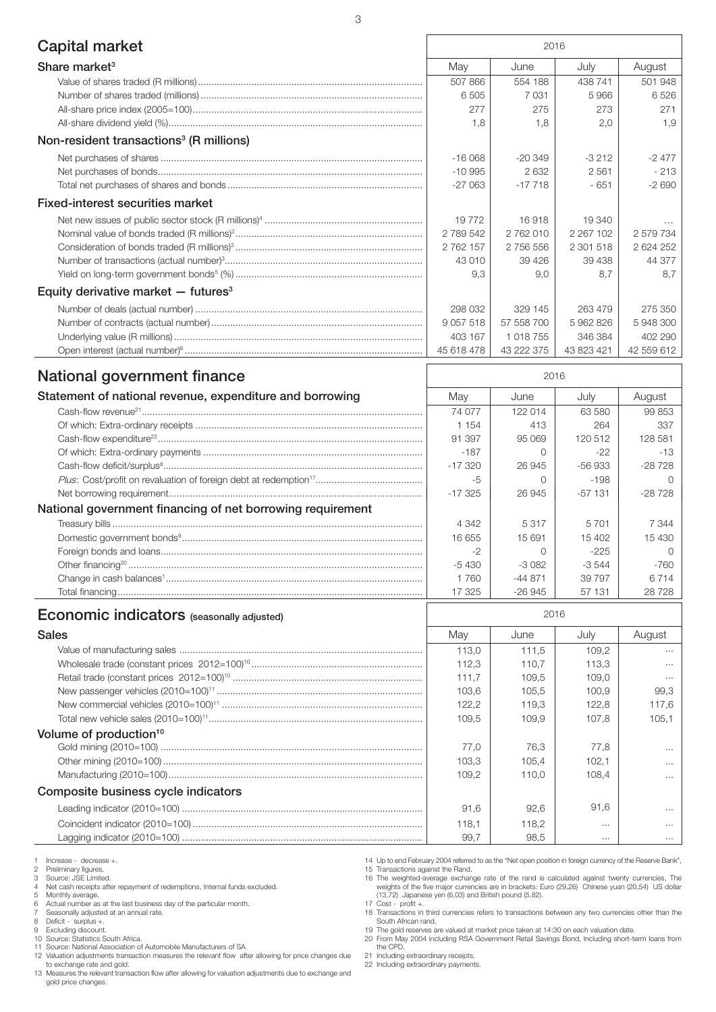| Capital market                                             | 2016          |            |               |            |
|------------------------------------------------------------|---------------|------------|---------------|------------|
| Share market <sup>3</sup>                                  | May           | June       | July          | August     |
|                                                            | 507 866       | 554 188    | 438 741       | 501 948    |
|                                                            | 6 505         | 7031       | 5966          | 6526       |
|                                                            | 277           | 275        | 273           | 271        |
|                                                            | 1,8           | 1,8        | 2,0           | 1,9        |
| Non-resident transactions <sup>3</sup> (R millions)        |               |            |               |            |
|                                                            | $-16068$      | $-20349$   | $-3212$       | $-2477$    |
|                                                            | $-10995$      | 2632       | 2561          | $-213$     |
|                                                            | $-27063$      | $-17718$   | $-651$        | $-2690$    |
| Fixed-interest securities market                           |               |            |               |            |
|                                                            | 19772         | 16918      | 19 340        |            |
|                                                            | 2789542       | 2762010    | 2 2 6 7 1 0 2 | 2 579 734  |
|                                                            | 2 762 157     | 2 756 556  | 2 301 518     | 2 624 252  |
|                                                            | 43 010        | 39 4 26    | 39 438        | 44 377     |
|                                                            | 9,3           | 9,0        | 8,7           | 8,7        |
| Equity derivative market $-$ futures <sup>3</sup>          |               |            |               |            |
|                                                            | 298 032       | 329 145    | 263 479       | 275 350    |
|                                                            | 9 0 5 7 5 1 8 | 57 558 700 | 5962826       | 5 948 300  |
|                                                            | 403 167       | 1 018 755  | 346 384       | 402 290    |
|                                                            | 45 618 478    | 43 222 375 | 43 823 421    | 42 559 612 |
| <b>National government finance</b>                         | 2016          |            |               |            |
| Statement of national revenue, expenditure and borrowing   | May           | June       | July          | August     |
|                                                            | 74 077        | 122 014    | 63 580        | 99 853     |
|                                                            | 1 1 5 4       | 413        | 264           | 337        |
|                                                            | 91 397        | 95 069     | 120 512       | 128 581    |
|                                                            | $-187$        | $\Omega$   | $-22$         | $-13$      |
|                                                            | $-17320$      | 26 945     | $-56933$      | $-28728$   |
|                                                            | -5            | $\Omega$   | $-198$        | O          |
|                                                            | $-17325$      | 26 945     | $-57131$      | $-28728$   |
| National government financing of net borrowing requirement |               |            |               |            |
|                                                            | 4 3 4 2       | 5317       | 5701          | 7 3 4 4    |
|                                                            | 16 655        | 15 691     | 15 402        | 15 4 30    |
|                                                            | -2            | $\Omega$   | $-225$        | $\Omega$   |

| <b>Economic indicators</b> (seasonally adjusted)                                                                                                                                                                                                                                                                                                                                                                                                                 |         | 2016      |          |        |
|------------------------------------------------------------------------------------------------------------------------------------------------------------------------------------------------------------------------------------------------------------------------------------------------------------------------------------------------------------------------------------------------------------------------------------------------------------------|---------|-----------|----------|--------|
|                                                                                                                                                                                                                                                                                                                                                                                                                                                                  | 17 325  | $-26.945$ | 57 131   | 28 728 |
|                                                                                                                                                                                                                                                                                                                                                                                                                                                                  | 1760    | $-44871$  | 39 7 9 7 | 6714   |
|                                                                                                                                                                                                                                                                                                                                                                                                                                                                  | $-5430$ | $-3082$   | $-3.544$ | $-760$ |
|                                                                                                                                                                                                                                                                                                                                                                                                                                                                  |         |           | $-225$   |        |
|                                                                                                                                                                                                                                                                                                                                                                                                                                                                  | 16 655  | 15 691    | 15 402   | 15 430 |
| $\label{eq:3} \textit{Treasury is} \textit{in} \textit{the same} \textit{in} \textit{in} \textit{in} \textit{in} \textit{in} \textit{in} \textit{in} \textit{in} \textit{in} \textit{in} \textit{in} \textit{in} \textit{in} \textit{in} \textit{in} \textit{in} \textit{in} \textit{in} \textit{in} \textit{in} \textit{in} \textit{in} \textit{in} \textit{in} \textit{in} \textit{in} \textit{in} \textit{in} \textit{in} \textit{in} \textit{in} \textit{in$ | 4 3 4 2 | 5317      | 5 7 0 1  | 7 344  |

| <b>Sales</b>                        | May   | June  | Julv     | August   |
|-------------------------------------|-------|-------|----------|----------|
|                                     | 113.0 | 111.5 | 109.2    | $\cdots$ |
|                                     | 112.3 | 110.7 | 113.3    | $\cdots$ |
|                                     | 111.7 | 109.5 | 109.0    | $\cdots$ |
|                                     | 103.6 | 105.5 | 100.9    | 99.3     |
|                                     | 122.2 | 119.3 | 122.8    | 117.6    |
|                                     | 109.5 | 109.9 | 107.8    | 105.1    |
| Volume of production <sup>10</sup>  |       |       |          |          |
|                                     | 77.0  | 76.3  | 77.8     | $\cdots$ |
|                                     | 103.3 | 105.4 | 102.1    | $\cdots$ |
|                                     | 109.2 | 110.0 | 108.4    | $\cdots$ |
| Composite business cycle indicators |       |       |          |          |
|                                     | 91.6  | 92,6  | 91.6     | $\cdots$ |
|                                     | 118.1 | 118.2 | $\cdots$ | $\cdots$ |
|                                     | 99,7  | 98.5  | $\cdots$ | $\cdots$ |

1 Increase - decrease +.<br>
2 Preliminary figures.<br>
3 Source: JSE Limited.

2 Preliminary figures. 3 Source: JSE Limited.

4 Net cash receipts after repayment of redemptions, Internal funds excluded. 5 Monthly average. 6 Actual number as at the last business day of the particular month.

7 Seasonally adjusted at an annual rate. 8 Deficit - surplus +.

9 Excluding discount. 10 Source: Statistics South Africa.

11 Source: National Association of Automobile Manufacturers of SA.

12 Valuation adjustments transaction measures the relevant flow after allowing for price changes due to exchange rate and gold.

13 Measures the relevant transaction flow after allowing for valuation adjustments due to exchange and gold price changes.

14 Up to end February 2004 referred to as the "Net open position in foreign currency of the Reserve Bank",

15 Transactions against the Rand.<br>16 The weighted-average exchange rate of the rand is calculated against twenty currencies, The<br>weights of the five major currencies are in brackets: Euro (29,26) Chinese yuan (20,54) US do 17  $Cost - profit +$ .

18 Transactions in third currencies refers to transactions between any two currencies other than the South African rand.

19 The gold reserves are valued at market price taken at 14:30 on each valuation date. 20 From May 2004 including RSA Government Retail Savings Bond, Including short-term loans from the CPD.

21 Including extraordinary receipts. 22 Including extraordinary payments.